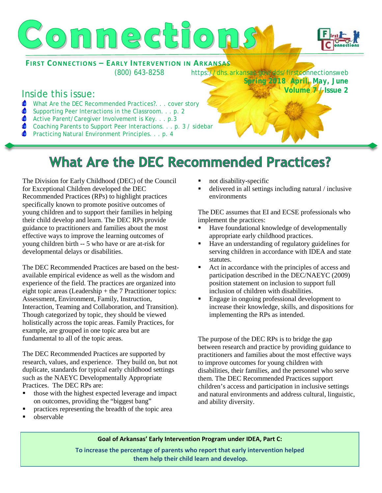



**FIRST CONNECTIONS – EARLY INTERVENTION IN ARKANSAS**

(800) 643-8258 https://dhs.arkansas.gov/dds/firstconnectionsweb *Spring 2018 April, May, June*  **Volume 7 / Issue 2**

### Inside this issue:

- $\bullet$ What Are the DEC Recommended Practices?. . . cover story
- $\bullet$ Supporting Peer Interactions in the Classroom. . . p. 2
- ◆ Active Parent/Caregiver Involvement is Key. . . p.3
- Coaching Parents to Support Peer Interactions. . . p. 3 / sidebar
- Practicing Natural Environment Principles. . . p. 4

### **What Are the DEC Recommended Practices?**

The Division for Early Childhood (DEC) of the Council for Exceptional Children developed the DEC Recommended Practices (RPs) to highlight practices specifically known to promote positive outcomes of young children and to support their families in helping their child develop and learn. The DEC RPs provide guidance to practitioners and families about the most effective ways to improve the learning outcomes of young children birth -- 5 who have or are at-risk for developmental delays or disabilities.

The DEC Recommended Practices are based on the bestavailable empirical evidence as well as the wisdom and experience of the field. The practices are organized into eight topic areas (Leadership + the 7 Practitioner topics: Assessment, Environment, Family, Instruction, Interaction, Teaming and Collaboration, and Transition). Though categorized by topic, they should be viewed holistically across the topic areas. Family Practices, for example, are grouped in one topic area but are fundamental to all of the topic areas.

The DEC Recommended Practices are supported by research, values, and experience. They build on, but not duplicate, standards for typical early childhood settings such as the NAEYC Developmentally Appropriate Practices. The DEC RPs are:

- those with the highest expected leverage and impact on outcomes, providing the "biggest bang"
- **Permet is a contract the straighter in the topic area Permeters Practices representing the breadth of the topic area**
- not disability-specific
- delivered in all settings including natural / inclusive environments

The DEC assumes that EI and ECSE professionals who implement the practices:

- Have foundational knowledge of developmentally appropriate early childhood practices.
- Have an understanding of regulatory guidelines for serving children in accordance with IDEA and state statutes.
- Act in accordance with the principles of access and participation described in the DEC/NAEYC (2009) position statement on inclusion to support full inclusion of children with disabilities.
- Engage in ongoing professional development to increase their knowledge, skills, and dispositions for implementing the RPs as intended.

The purpose of the DEC RPs is to bridge the gap between research and practice by providing guidance to practitioners and families about the most effective ways to improve outcomes for young children with disabilities, their families, and the personnel who serve them. The DEC Recommended Practices support children's access and participation in inclusive settings and natural environments and address cultural, linguistic, and ability diversity.

observable

**Goal of Arkansas' Early Intervention Program under IDEA, Part C:**

**To increase the percentage of parents who report that early intervention helped them help their child learn and develop.**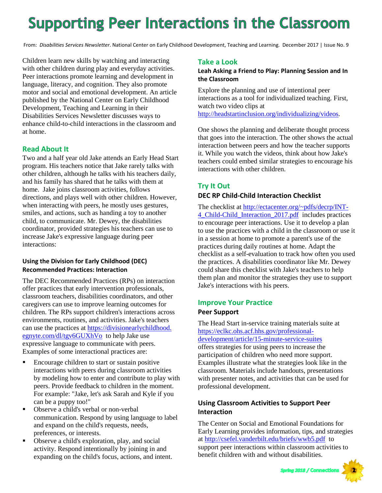# **Supporting Peer Interactions in the Classroom**

From: *Disabilities Services Newsletter*. National Center on Early Childhood Development, Teaching and Learning. December 2017 | Issue No. 9

Children learn new skills by watching and interacting with other children during play and everyday activities. Peer interactions promote learning and development in language, literacy, and cognition. They also promote motor and social and emotional development. An article published by the National Center on Early Childhood Development, Teaching and Learning in their Disabilities Services Newsletter discusses ways to enhance child-to-child interactions in the classroom and at home.

#### **Read About It**

Two and a half year old Jake attends an Early Head Start program. His teachers notice that Jake rarely talks with other children, although he talks with his teachers daily, and his family has shared that he talks with them at home. Jake joins classroom activities, follows directions, and plays well with other children. However, when interacting with peers, he mostly uses gestures, smiles, and actions, such as handing a toy to another child, to communicate. Mr. Dewey, the disabilities coordinator, provided strategies his teachers can use to increase Jake's expressive language during peer interactions:

#### **Using the Division for Early Childhood (DEC) Recommended Practices: Interaction**

The DEC Recommended Practices (RPs) on interaction offer practices that early intervention professionals, classroom teachers, disabilities coordinators, and other caregivers can use to improve learning outcomes for children. The RPs support children's interactions across environments, routines, and activities. Jake's teachers can use the practices at [https://divisionearlychildhood.](https://divisionearlychildhood.egnyte.com/dl/tgv6GUXhVo) [egnyte.com/dl/tgv6GUXhVo](https://divisionearlychildhood.egnyte.com/dl/tgv6GUXhVo) to help Jake use expressive language to communicate with peers. Examples of some interactional practices are:

- **Encourage children to start or sustain positive** interactions with peers during classroom activities by modeling how to enter and contribute to play with peers. Provide feedback to children in the moment. For example: "Jake, let's ask Sarah and Kyle if you can be a puppy too!"
- Observe a child's verbal or non-verbal communication. Respond by using language to label and expand on the child's requests, needs, preferences, or interests.
- Observe a child's exploration, play, and social activity. Respond intentionally by joining in and expanding on the child's focus, actions, and intent.

#### **Take a Look**

#### **Leah Asking a Friend to Play: Planning Session and In the Classroom**

Explore the planning and use of intentional peer interactions as a tool for individualized teaching. First, watch two video clips at [http://headstartinclusion.org/individualizing/videos.](http://headstartinclusion.org/individualizing/videos)

One shows the planning and deliberate thought process that goes into the interaction. The other shows the actual interaction between peers and how the teacher supports it. While you watch the videos, think about how Jake's teachers could embed similar strategies to encourage his interactions with other children.

#### **Try It Out**

#### **DEC RP Child-Child Interaction Checklist**

The checklist at [http://ectacenter.org/~pdfs/decrp/INT-](http://ectacenter.org/%7Epdfs/decrp/INT-4_Child-Child_Interaction_2017.pdf)[4\\_Child-Child\\_Interaction\\_2017.pdf](http://ectacenter.org/%7Epdfs/decrp/INT-4_Child-Child_Interaction_2017.pdf) includes practices to encourage peer interactions. Use it to develop a plan to use the practices with a child in the classroom or use it in a session at home to promote a parent's use of the practices during daily routines at home. Adapt the checklist as a self-evaluation to track how often you used the practices. A disabilities coordinator like Mr. Dewey could share this checklist with Jake's teachers to help them plan and monitor the strategies they use to support Jake's interactions with his peers.

#### **Improve Your Practice**

#### **Peer Support**

The Head Start in-service training materials suite at [https://eclkc.ohs.acf.hhs.gov/professional](https://eclkc.ohs.acf.hhs.gov/professional-development/article/15-minute-service-suites)[development/article/15-minute-service-suites](https://eclkc.ohs.acf.hhs.gov/professional-development/article/15-minute-service-suites) offers strategies for using peers to increase the participation of children who need more support. Examples illustrate what the strategies look like in the classroom. Materials include handouts, presentations with presenter notes, and activities that can be used for professional development.

#### **Using Classroom Activities to Support Peer Interaction**

The Center on Social and Emotional Foundations for Early Learning provides information, tips, and strategies at <http://csefel.vanderbilt.edu/briefs/wwb5.pdf>to support peer interactions within classroom activities to benefit children with and without disabilities.

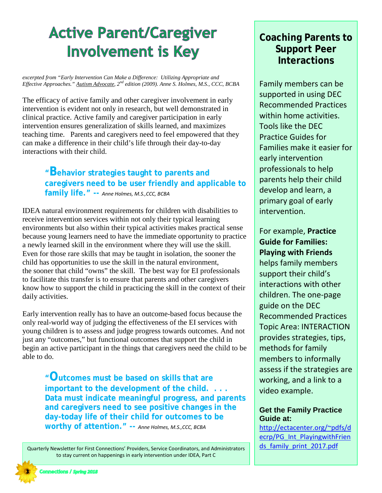# **Active Parent/Caregiver Involvement is Key**

*excerpted from "Early Intervention Can Make a Difference: Utilizing Appropriate and Effective Approaches." Autism Advocate, 2nd edition (2009). Anne S. Holmes, M.S., CCC, BCBA*

The efficacy of active family and other caregiver involvement in early intervention is evident not only in research, but well demonstrated in clinical practice. Active family and caregiver participation in early intervention ensures generalization of skills learned, and maximizes teaching time. Parents and caregivers need to feel empowered that they can make a difference in their child's life through their day-to-day interactions with their child.

> **"Behavior strategies taught to parents and caregivers need to be user friendly and applicable to family life." --** *Anne Holmes, M.S.,CCC, BCBA*

IDEA natural environment requirements for children with disabilities to receive intervention services within not only their typical learning environments but also within their typical activities makes practical sense because young learners need to have the immediate opportunity to practice a newly learned skill in the environment where they will use the skill. Even for those rare skills that may be taught in isolation, the sooner the child has opportunities to use the skill in the natural environment, the sooner that child "owns" the skill. The best way for EI professionals to facilitate this transfer is to ensure that parents and other caregivers know how to support the child in practicing the skill in the context of their daily activities.

Early intervention really has to have an outcome-based focus because the only real-world way of judging the effectiveness of the EI services with young children is to assess and judge progress towards outcomes. And not just any "outcomes," but functional outcomes that support the child in begin an active participant in the things that caregivers need the child to be able to do.

**"Outcomes must be based on skills that are important to the development of the child. . . . Data must indicate meaningful progress, and parents and caregivers need to see positive changes in the day-today life of their child for outcomes to be worthy of attention." --** *Anne Holmes, M.S.,CCC, BCBA*

Quarterly Newsletter for First Connections' Providers, Service Coordinators, and Administrators to stay current on happenings in early intervention under IDEA, Part C

### **Coaching Parents to Support Peer Interactions**

Family members can be supported in using DEC Recommended Practices within home activities. Tools like the DEC Practice Guides for Families make it easier for early intervention professionals to help parents help their child develop and learn, a primary goal of early intervention.

For example, **Practice Guide for Families: Playing with Friends**  helps family members support their child's interactions with other children. The one-page guide on the DEC Recommended Practices Topic Area: INTERACTION provides strategies, tips, methods for family members to informally assess if the strategies are working, and a link to a video example.

#### **Get the Family Practice Guide at:**

[http://ectacenter.org/~pdfs/d](http://ectacenter.org/%7Epdfs/decrp/PG_Int_PlayingwithFriends_family_print_2017.pdf) [ecrp/PG\\_Int\\_PlayingwithFrien](http://ectacenter.org/%7Epdfs/decrp/PG_Int_PlayingwithFriends_family_print_2017.pdf) [ds\\_family\\_print\\_2017.pdf](http://ectacenter.org/%7Epdfs/decrp/PG_Int_PlayingwithFriends_family_print_2017.pdf)